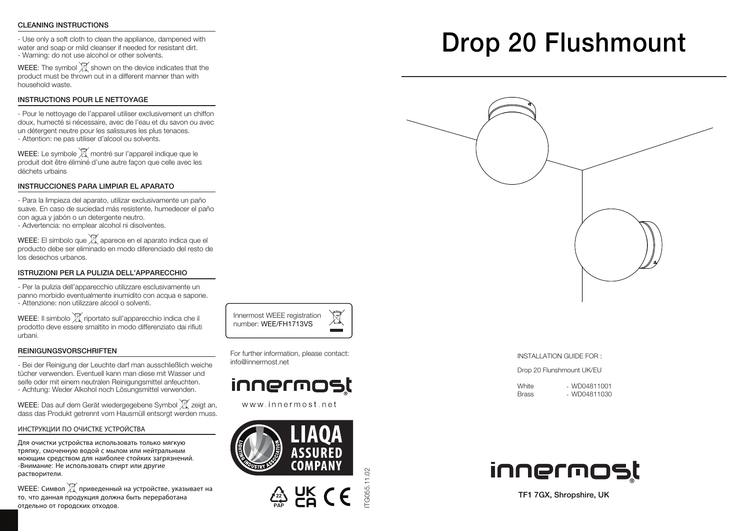### CLEANING INSTRUCTIONS

- Use only a soft cloth to clean the appliance, dampened with water and soap or mild cleanser if needed for resistant dirt. - Warning: do not use alcohol or other solvents.

WEEE: The symbol  $\mathbb{\widehat{X}}$  shown on the device indicates that the product must be thrown out in a different manner than with household waste.

### INSTRUCTIONS POUR LE NETTOYAGE

- Pour le nettoyage de l'appareil utiliser exclusivement un chiffon doux, humecté si nécessaire, avec de l'eau et du savon ou avec un détergent neutre pour les salissures les plus tenaces. - Attention: ne pas utiliser d'alcool ou solvents.

WEEE: Le symbole  $\overline{{\mathbb X}}$  montré sur l'appareil indique que le produit doit être éliminé d'une autre façon que celle avec les déchets urbains

### INSTRUCCIONES PARA LIMPIAR EL APARATO

- Para la limpieza del aparato, utilizar exclusivamente un paño suave. En caso de suciedad más resistente, humedecer el paño con agua y jabón o un detergente neutro.

- Advertencia: no emplear alcohol ni disolventes.

WEEE: El símbolo que  $\mathbb X$  aparece en el aparato indica que el producto debe ser eliminado en modo diferenciado del resto de los desechos urbanos.

### ISTRUZIONI PER LA PULIZIA DELL'APPARECCHIO

- Per la pulizia dell'apparecchio utilizzare esclusivamente un panno morbido eventualmente inumidito con acqua e sapone. - Attenzione: non utilizzare alcool o solventi.

WEEE: Il simbolo  $\widetilde{X}$  riportato sull'apparecchio indica che il prodotto deve essere smaltito in modo differenziato dai rifiuti urbani.

### REINIGUNGSVORSCHRIFTEN

- Bei der Reinigung der Leuchte darf man ausschließlich weiche tücher verwenden. Eventuell kann man diese mit Wasser und seife oder mit einem neutralen Reinigungsmittel anfeuchten. - Achtung: Weder Alkohol noch Lösungsmittel verwenden.

WEEE: Das auf dem Gerät wiedergegebene Symbol  $\mathbb X$  zeigt an, dass das Produkt getrennt vom Hausmüll entsorgt werden muss.

### ИНСТРУКЦИИ ПО ОЧИСТКЕ УСТРОЙСТВА

Для очистки устройства использовать только мягкую тряпку, смоченную водой с мылом или нейтральным моющим средством для наиболее стойких загрязнений. -Внимание: Не использовать спирт или другие растворители.

WEEE: Символ  $\mathbb{\widehat{X}}$  приведенный на устройстве, указывает на то, что данная продукция должна быть переработана отдельно от городских отходов.

For further information, please contact: info@innermost.net

Innermost WEEE registration number: WEE/FH1713VS

## innermost

www.innermost.net





ITG055.11.02

G055.11.02

# Drop 20 Flushmount



#### INSTALLATION GUIDE FOR :

Drop 20 Flunshmount UK/EU

| White | $-$ WD04811001 |
|-------|----------------|
| Brass | - WD04811030   |



TF1 7GX, Shropshire, UK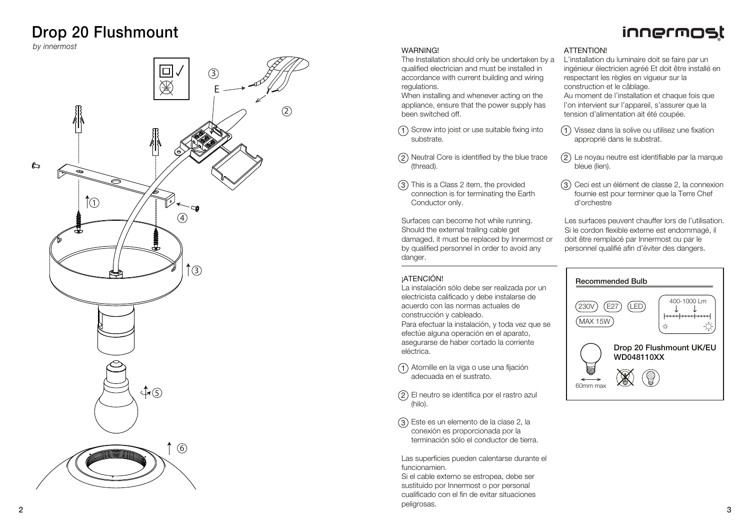### Drop 20 Flushmount

*by innermost*



### **WARNING!**

The Installation should only be undertaken by a qualified electrician and must be installed in accordance with current building and wiring regulations.

When installing and whenever acting on the appliance, ensure that the power supply has been switched off.

- (1) Screw into joist or use suitable fixing into substrate.
- Neutral Core is identified by the blue trace (thread).  $\frac{1}{3}$ <br> $\frac{2}{3}$
- (3) This is a Class 2 item, the provided connection is for terminating the Earth Conductor only.

Surfaces can become hot while running. Should the external trailing cable get damaged, it must be replaced by Innermost or by qualified personnel in order to avoid any danger.

### **¡ATENCIÓN!**

La instalación sólo debe ser realizada por un electricista calificado y debe instalarse de acuerdo con las normas actuales de construcción y cableado. Para efectuar la instalación, y toda vez que se

efectúe alguna operación en el aparato, asegurarse de haber cortado la corriente eléctrica.

- Atornille en la viga o use una fijación adecuada en el sustrato.
- El neutro se identifica por el rastro azul (hilo).
- Este es un elemento de la clase 2, la conexión es proporcionada por la terminación sólo el conductor de tierra.

Las superficies pueden calentarse durante el funcionamien.

Si el cable externo se estropea, debe ser sustituido por Innermost o por personal cualificado con el fin de evitar situaciones 1) Atornille<br>adecuae<br>2) El neutre<br>(hilo).<br>3) Este es<br>conexió<br>terminae<br>Las superffuncionami<br>Si el cable<br>cualificado<br>cualificado<br>peligrosas.

### **ATTENTION!**

L'installation du luminaire doit se faire par un ingénieur électricien agréé Et doit être installé en respectant les règles en vigueur sur la construction et le câblage.

innermost

Au moment de l'installation et chaque fois que l'on intervient sur l'appareil, s'assurer que la tension d'alimentation ait été coupée.

- Vissez dans la solive ou utilisez une fixation approprié dans le substrat.
- Le noyau neutre est identifiable par la marque bleue (lien).  $\frac{1}{3}$
- Ceci est un élément de classe 2, la connexion fournie est pour terminer que la Terre Chef d'orchestre

Les surfaces peuvent chauffer lors de l'utilisation. Si le cordon flexible externe est endommagé, il doit être remplacé par Innermost ou par le personnel qualifié afin d'éviter des dangers.